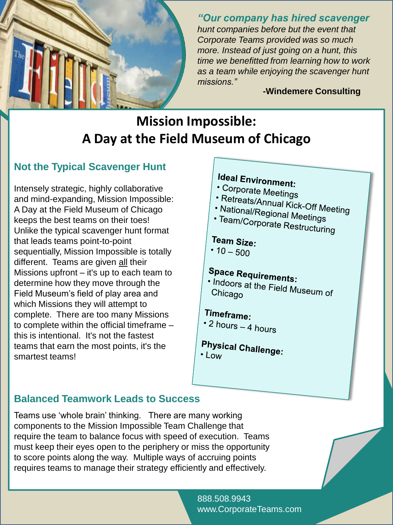

*"Our company has hired scavenger hunt companies before but the event that Corporate Teams provided was so much more. Instead of just going on a hunt, this time we benefitted from learning how to work as a team while enjoying the scavenger hunt missions."* 

**-Windemere Consulting**

# **Mission Impossible: A Day at the Field Museum of Chicago**

## **Not the Typical Scavenger Hunt**

Intensely strategic, highly collaborative and mind-expanding, Mission Impossible: A Day at the Field Museum of Chicago keeps the best teams on their toes! Unlike the typical scavenger hunt format that leads teams point-to-point sequentially, Mission Impossible is totally different. Teams are given all their Missions upfront – it's up to each team to determine how they move through the Field Museum's field of play area and which Missions they will attempt to complete. There are too many Missions to complete within the official timeframe – this is intentional. It's not the fastest teams that earn the most points, it's the smartest teams!

# **Ideal Environment:**

- Corporate Meetings
- 
- Priporate Meetings<br>• Retreats/Annual Kick-Off Meeting<br>• National/Regional Meeti • National/Regional Meetings<br>• National/Regional Meetings<br>• Team/Corporate D
- · Team/Corporate Restructuring

### Team Size:

•  $10 - 500$ 

# **Space Requirements:**

I The Nequirements:<br>Indoors at the Field Museum of<br>Chicago Chicago

## Timeframe:

- \* 2 hours 4 hours
- **Physical Challenge:** • Low

## **Balanced Teamwork Leads to Success**

Teams use 'whole brain' thinking. There are many working components to the Mission Impossible Team Challenge that require the team to balance focus with speed of execution. Teams must keep their eyes open to the periphery or miss the opportunity to score points along the way. Multiple ways of accruing points requires teams to manage their strategy efficiently and effectively.

> 888.508.9943 www.CorporateTeams.com